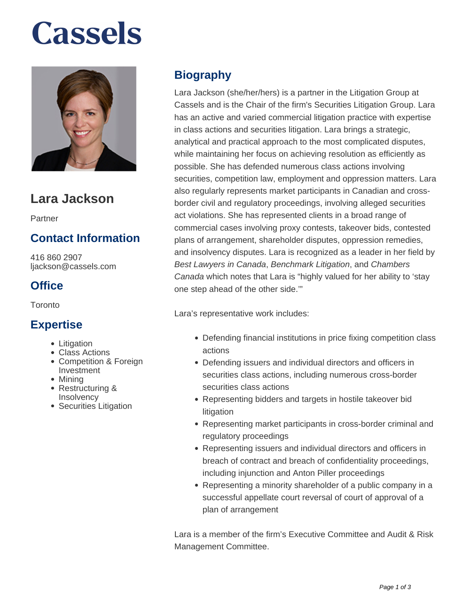# **Cassels**



## **Lara Jackson**

Partner

### **Contact Information**

416 860 2907 ljackson@cassels.com

#### **Office**

Toronto

#### **Expertise**

- Litigation
- Class Actions
- Competition & Foreign Investment
- Minina
- Restructuring & Insolvency
- Securities Litigation

### **Biography**

Lara Jackson (she/her/hers) is a partner in the Litigation Group at Cassels and is the Chair of the firm's Securities Litigation Group. Lara has an active and varied commercial litigation practice with expertise in class actions and securities litigation. Lara brings a strategic, analytical and practical approach to the most complicated disputes, while maintaining her focus on achieving resolution as efficiently as possible. She has defended numerous class actions involving securities, competition law, employment and oppression matters. Lara also regularly represents market participants in Canadian and crossborder civil and regulatory proceedings, involving alleged securities act violations. She has represented clients in a broad range of commercial cases involving proxy contests, takeover bids, contested plans of arrangement, shareholder disputes, oppression remedies, and insolvency disputes. Lara is recognized as a leader in her field by Best Lawyers in Canada, Benchmark Litigation, and Chambers Canada which notes that Lara is "highly valued for her ability to 'stay one step ahead of the other side.'"

Lara's representative work includes:

- Defending financial institutions in price fixing competition class actions
- Defending issuers and individual directors and officers in securities class actions, including numerous cross-border securities class actions
- Representing bidders and targets in hostile takeover bid litigation
- Representing market participants in cross-border criminal and regulatory proceedings
- Representing issuers and individual directors and officers in breach of contract and breach of confidentiality proceedings, including injunction and Anton Piller proceedings
- Representing a minority shareholder of a public company in a successful appellate court reversal of court of approval of a plan of arrangement

Lara is a member of the firm's Executive Committee and Audit & Risk Management Committee.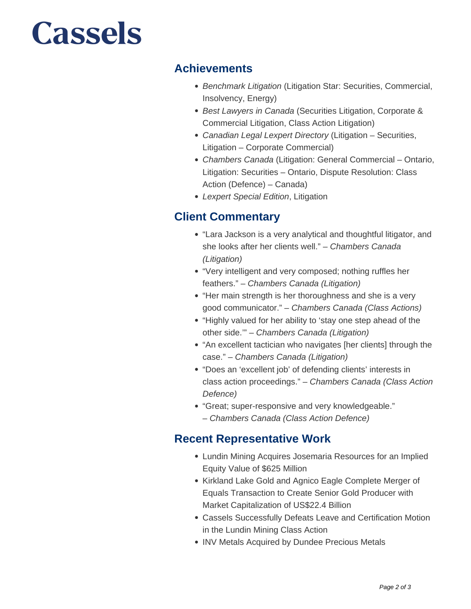# **Cassels**

#### **Achievements**

- Benchmark Litigation (Litigation Star: Securities, Commercial, Insolvency, Energy)
- Best Lawyers in Canada (Securities Litigation, Corporate & Commercial Litigation, Class Action Litigation)
- Canadian Legal Lexpert Directory (Litigation Securities, Litigation – Corporate Commercial)
- Chambers Canada (Litigation: General Commercial Ontario, Litigation: Securities – Ontario, Dispute Resolution: Class Action (Defence) – Canada)
- Lexpert Special Edition, Litigation

### **Client Commentary**

- "Lara Jackson is a very analytical and thoughtful litigator, and she looks after her clients well." – Chambers Canada (Litigation)
- "Very intelligent and very composed; nothing ruffles her feathers." – Chambers Canada (Litigation)
- "Her main strength is her thoroughness and she is a very good communicator." – Chambers Canada (Class Actions)
- "Highly valued for her ability to 'stay one step ahead of the other side.'" – Chambers Canada (Litigation)
- "An excellent tactician who navigates [her clients] through the case." – Chambers Canada (Litigation)
- "Does an 'excellent job' of defending clients' interests in class action proceedings." – Chambers Canada (Class Action Defence)
- "Great; super-responsive and very knowledgeable." – Chambers Canada (Class Action Defence)

### **Recent Representative Work**

- Lundin Mining Acquires Josemaria Resources for an Implied Equity Value of \$625 Million
- Kirkland Lake Gold and Agnico Eagle Complete Merger of Equals Transaction to Create Senior Gold Producer with Market Capitalization of US\$22.4 Billion
- Cassels Successfully Defeats Leave and Certification Motion in the Lundin Mining Class Action
- INV Metals Acquired by Dundee Precious Metals